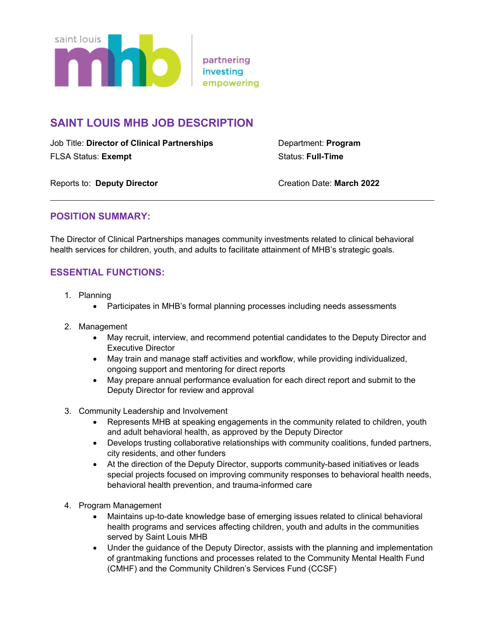

# **SAINT LOUIS MHB JOB DESCRIPTION**

Job Title: **Director of Clinical Partnerships** Department: **Program** FLSA Status: **Exempt Exempt Exercise Status: Full-Time** 

Reports to: Deputy Director **CREATION CREATION** Creation Date: March 2022

#### **POSITION SUMMARY:**

The Director of Clinical Partnerships manages community investments related to clinical behavioral health services for children, youth, and adults to facilitate attainment of MHB's strategic goals.

## **ESSENTIAL FUNCTIONS:**

- 1. Planning
	- Participates in MHB's formal planning processes including needs assessments
- 2. Management
	- May recruit, interview, and recommend potential candidates to the Deputy Director and Executive Director
	- May train and manage staff activities and workflow, while providing individualized, ongoing support and mentoring for direct reports
	- May prepare annual performance evaluation for each direct report and submit to the Deputy Director for review and approval
- 3. Community Leadership and Involvement
	- Represents MHB at speaking engagements in the community related to children, youth and adult behavioral health, as approved by the Deputy Director
	- Develops trusting collaborative relationships with community coalitions, funded partners, city residents, and other funders
	- At the direction of the Deputy Director, supports community-based initiatives or leads special projects focused on improving community responses to behavioral health needs, behavioral health prevention, and trauma-informed care
- 4. Program Management
	- Maintains up-to-date knowledge base of emerging issues related to clinical behavioral health programs and services affecting children, youth and adults in the communities served by Saint Louis MHB
	- Under the guidance of the Deputy Director, assists with the planning and implementation of grantmaking functions and processes related to the Community Mental Health Fund (CMHF) and the Community Children's Services Fund (CCSF)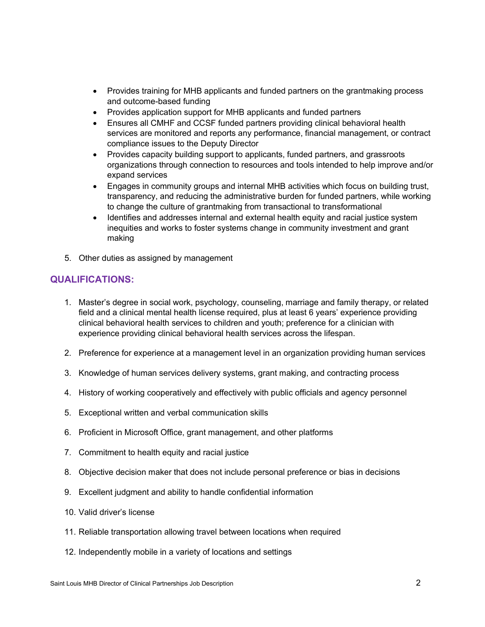- Provides training for MHB applicants and funded partners on the grantmaking process and outcome-based funding
- Provides application support for MHB applicants and funded partners
- Ensures all CMHF and CCSF funded partners providing clinical behavioral health services are monitored and reports any performance, financial management, or contract compliance issues to the Deputy Director
- Provides capacity building support to applicants, funded partners, and grassroots organizations through connection to resources and tools intended to help improve and/or expand services
- Engages in community groups and internal MHB activities which focus on building trust, transparency, and reducing the administrative burden for funded partners, while working to change the culture of grantmaking from transactional to transformational
- Identifies and addresses internal and external health equity and racial justice system inequities and works to foster systems change in community investment and grant making
- 5. Other duties as assigned by management

## **QUALIFICATIONS:**

- 1. Master's degree in social work, psychology, counseling, marriage and family therapy, or related field and a clinical mental health license required, plus at least 6 years' experience providing clinical behavioral health services to children and youth; preference for a clinician with experience providing clinical behavioral health services across the lifespan.
- 2. Preference for experience at a management level in an organization providing human services
- 3. Knowledge of human services delivery systems, grant making, and contracting process
- 4. History of working cooperatively and effectively with public officials and agency personnel
- 5. Exceptional written and verbal communication skills
- 6. Proficient in Microsoft Office, grant management, and other platforms
- 7. Commitment to health equity and racial justice
- 8. Objective decision maker that does not include personal preference or bias in decisions
- 9. Excellent judgment and ability to handle confidential information
- 10. Valid driver's license
- 11. Reliable transportation allowing travel between locations when required
- 12. Independently mobile in a variety of locations and settings